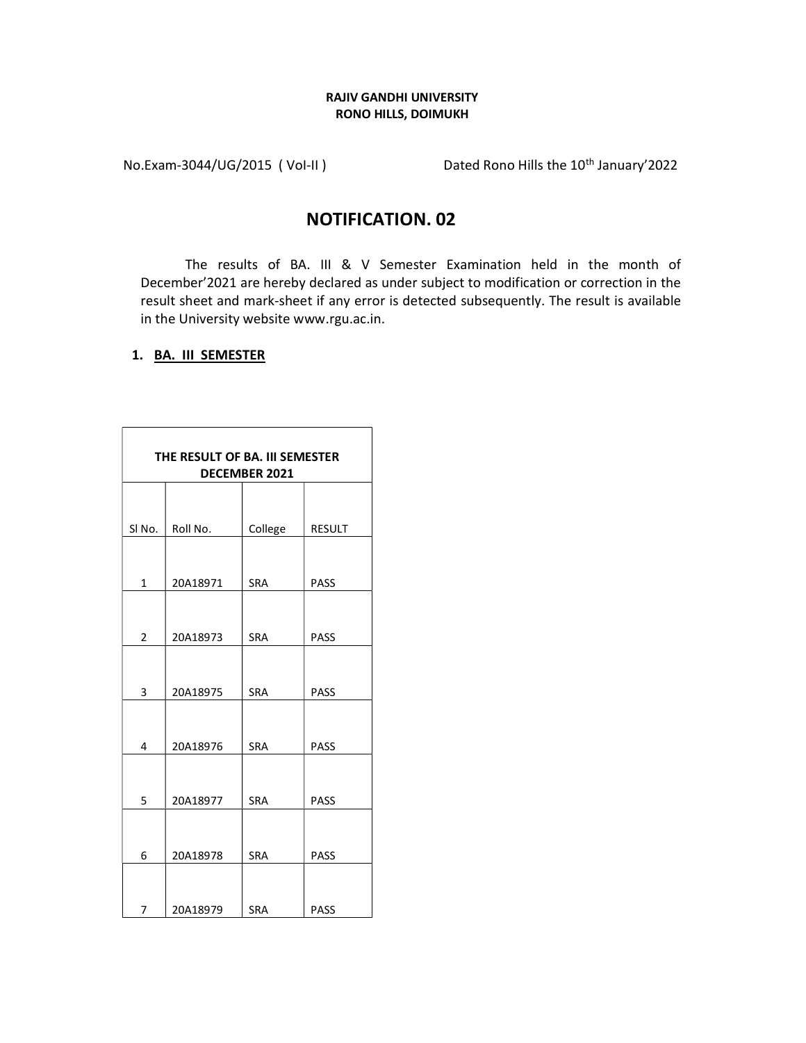## RAJIV GANDHI UNIVERSITY RONO HILLS, DOIMUKH

No.Exam-3044/UG/2015 (Vol-II) Dated Rono Hills the 10<sup>th</sup> January'2022

## NOTIFICATION. 02

The results of BA. III & V Semester Examination held in the month of December'2021 are hereby declared as under subject to modification or correction in the result sheet and mark-sheet if any error is detected subsequently. The result is available in the University website www.rgu.ac.in.

## 1. BA. III SEMESTER

| THE RESULT OF BA. III SEMESTER<br>DECEMBER 2021 |          |            |               |  |  |
|-------------------------------------------------|----------|------------|---------------|--|--|
|                                                 |          |            |               |  |  |
| SI <sub>No.</sub>                               | Roll No. | College    | <b>RESULT</b> |  |  |
|                                                 |          |            |               |  |  |
| 1                                               | 20A18971 | <b>SRA</b> | PASS          |  |  |
|                                                 |          |            |               |  |  |
| $\overline{2}$                                  | 20A18973 | <b>SRA</b> | PASS          |  |  |
|                                                 |          |            |               |  |  |
| 3                                               | 20A18975 | <b>SRA</b> | PASS          |  |  |
|                                                 |          |            |               |  |  |
| 4                                               | 20A18976 | <b>SRA</b> | PASS          |  |  |
|                                                 |          |            |               |  |  |
| 5                                               | 20A18977 | <b>SRA</b> | PASS          |  |  |
|                                                 |          |            |               |  |  |
| 6                                               | 20A18978 | <b>SRA</b> | PASS          |  |  |
|                                                 |          |            |               |  |  |
| 7                                               | 20A18979 | <b>SRA</b> | PASS          |  |  |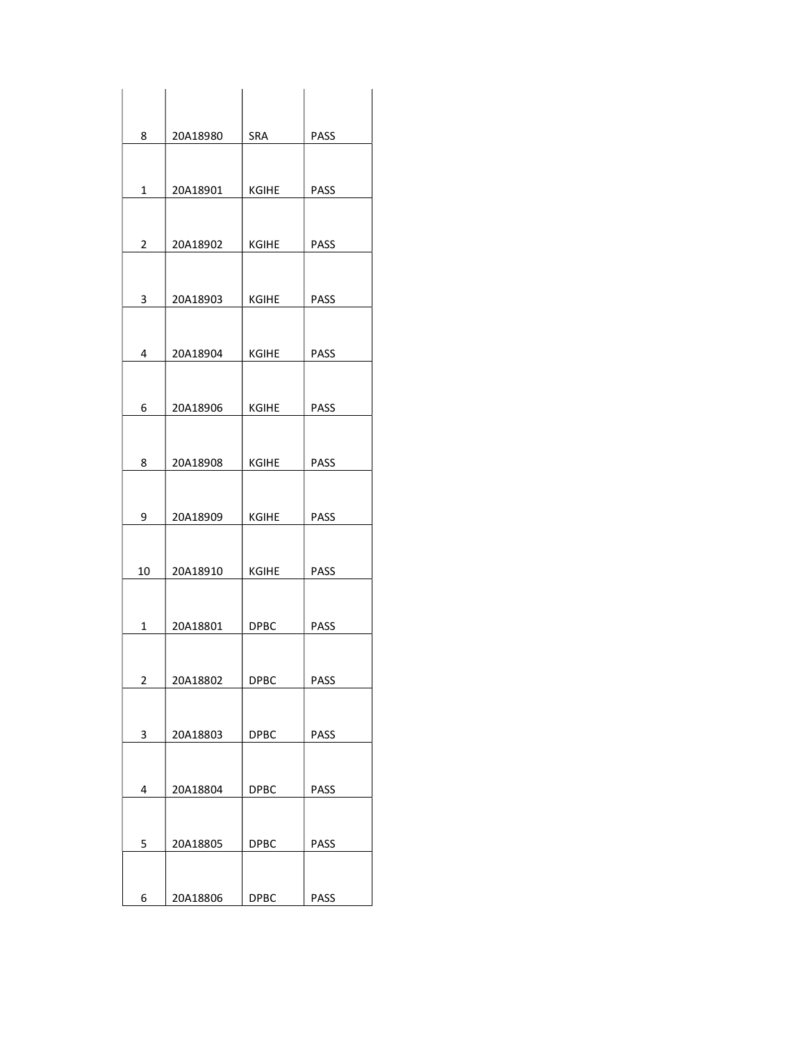| 8              | 20A18980 | SRA          | PASS        |
|----------------|----------|--------------|-------------|
|                |          |              |             |
| $\mathbf{1}$   | 20A18901 | <b>KGIHE</b> | PASS        |
|                |          |              |             |
| $\overline{2}$ | 20A18902 | KGIHE        | PASS        |
|                |          |              |             |
|                |          |              |             |
| 3              | 20A18903 | <b>KGIHE</b> | PASS        |
|                |          |              |             |
| 4              | 20A18904 | KGIHE        | PASS        |
|                |          |              |             |
| 6              | 20A18906 | <b>KGIHE</b> | PASS        |
|                |          |              |             |
| 8              | 20A18908 | <b>KGIHE</b> | <b>PASS</b> |
|                |          |              |             |
|                |          |              |             |
| 9              | 20A18909 | KGIHE        | PASS        |
|                |          |              |             |
| 10             | 20A18910 | <b>KGIHE</b> | <b>PASS</b> |
|                |          |              |             |
| $\mathbf{1}$   | 20A18801 | <b>DPBC</b>  | PASS        |
|                |          |              |             |
| $\overline{2}$ | 20A18802 | DPBC         | PASS        |
|                |          |              |             |
|                |          |              |             |
| 3              | 20A18803 | <b>DPBC</b>  | PASS        |
|                |          |              |             |
| 4              | 20A18804 | D P B C      | PASS        |
|                |          |              |             |
| 5              | 20A18805 | <b>DPBC</b>  | PASS        |
|                |          |              |             |
| 6              | 20A18806 | <b>DPBC</b>  | PASS        |
|                |          |              |             |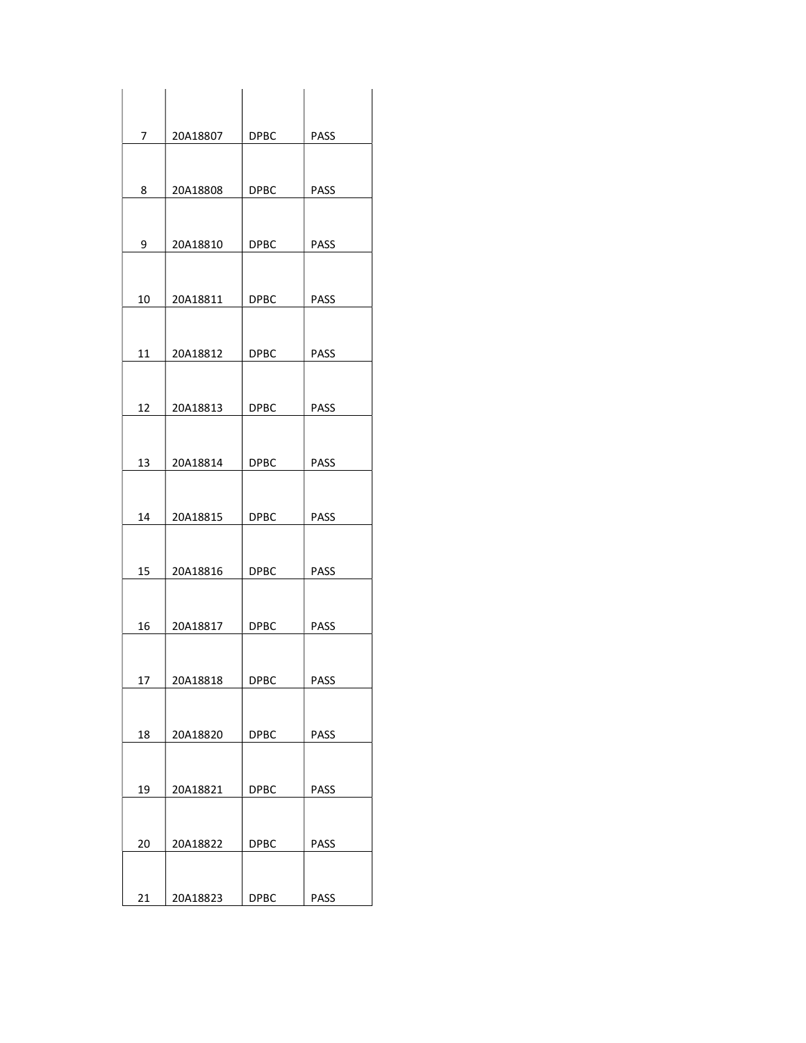| 7  | 20A18807 | <b>DPBC</b> | PASS        |
|----|----------|-------------|-------------|
|    |          |             |             |
| 8  | 20A18808 | <b>DPBC</b> | <b>PASS</b> |
|    |          |             |             |
| 9  | 20A18810 | <b>DPBC</b> | PASS        |
|    |          |             |             |
| 10 | 20A18811 | <b>DPBC</b> | PASS        |
|    |          |             |             |
| 11 | 20A18812 | <b>DPBC</b> | PASS        |
|    |          |             |             |
| 12 | 20A18813 | <b>DPBC</b> | PASS        |
|    |          |             |             |
| 13 | 20A18814 | <b>DPBC</b> | <b>PASS</b> |
|    |          |             |             |
| 14 | 20A18815 | <b>DPBC</b> | PASS        |
|    |          |             |             |
| 15 | 20A18816 | <b>DPBC</b> | PASS        |
|    |          |             |             |
| 16 | 20A18817 | <b>DPBC</b> | PASS        |
|    |          |             |             |
| 17 | 20A18818 | <b>DPBC</b> | PASS        |
| 18 | 20A18820 | <b>DPBC</b> | <b>PASS</b> |
|    |          |             |             |
| 19 | 20A18821 | DPBC        | <b>PASS</b> |
|    |          |             |             |
| 20 | 20A18822 | <b>DPBC</b> | PASS        |
|    |          |             |             |
| 21 | 20A18823 | <b>DPBC</b> | PASS        |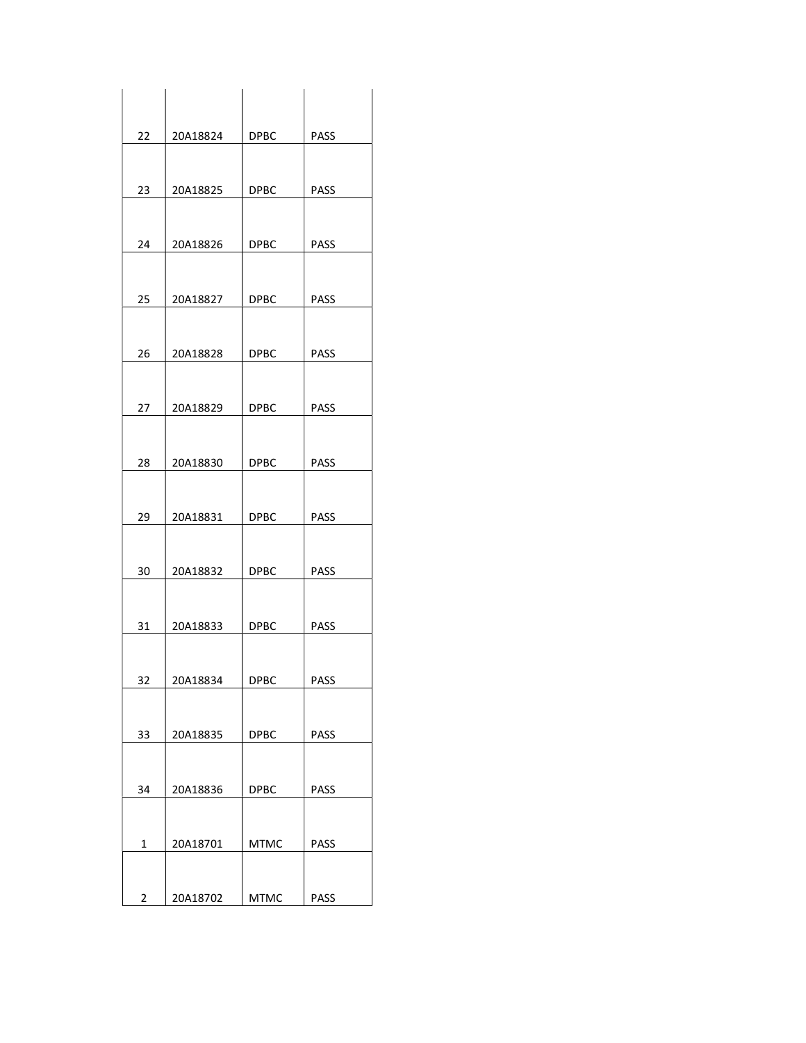| 22             | 20A18824 | <b>DPBC</b> | PASS        |
|----------------|----------|-------------|-------------|
|                |          |             |             |
| 23             | 20A18825 | <b>DPBC</b> | PASS        |
|                |          |             |             |
|                |          |             |             |
| 24             | 20A18826 | <b>DPBC</b> | PASS        |
|                |          |             |             |
| 25             | 20A18827 | <b>DPBC</b> | <b>PASS</b> |
|                |          |             |             |
|                |          |             |             |
| 26             | 20A18828 | <b>DPBC</b> | PASS        |
|                |          |             |             |
| 27             | 20A18829 | <b>DPBC</b> | PASS        |
|                |          |             |             |
|                |          |             |             |
| 28             | 20A18830 | <b>DPBC</b> | <b>PASS</b> |
|                |          |             |             |
| 29             | 20A18831 | <b>DPBC</b> | PASS        |
|                |          |             |             |
| 30             | 20A18832 | <b>DPBC</b> | <b>PASS</b> |
|                |          |             |             |
|                |          |             |             |
| 31             | 20A18833 | <b>DPBC</b> | PASS        |
|                |          |             |             |
| 32             | 20A18834 | <b>DPBC</b> | PASS        |
|                |          |             |             |
|                |          |             |             |
| 33             | 20A18835 | <b>DPBC</b> | PASS        |
|                |          |             |             |
| 34             | 20A18836 | DPBC        | PASS        |
|                |          |             |             |
|                |          |             |             |
| $\mathbf{1}$   | 20A18701 | <b>MTMC</b> | PASS        |
|                |          |             |             |
| $\overline{2}$ | 20A18702 | <b>MTMC</b> | PASS        |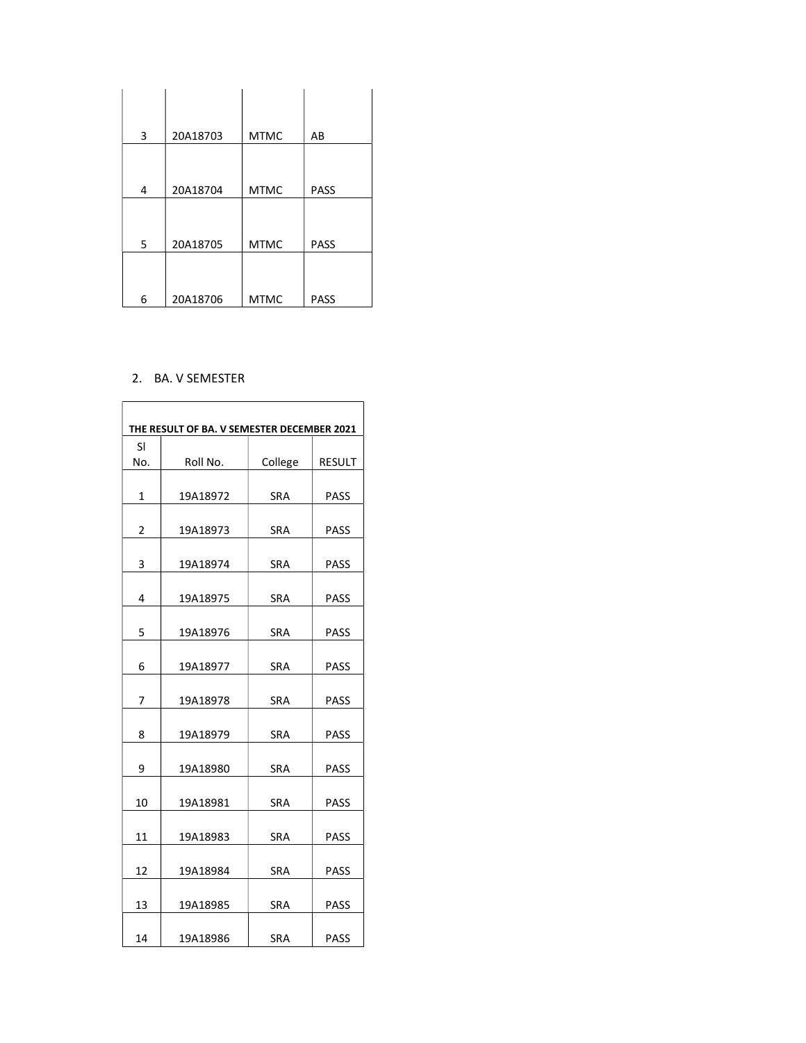| 3 | 20A18703 | <b>MTMC</b> | AB          |
|---|----------|-------------|-------------|
|   |          |             |             |
| 4 | 20A18704 | <b>MTMC</b> | <b>PASS</b> |
|   |          |             |             |
| 5 | 20A18705 | <b>MTMC</b> | <b>PASS</b> |
|   |          |             |             |
| 6 | 20A18706 | <b>MTMC</b> | <b>PASS</b> |

## 2. BA. V SEMESTER

| THE RESULT OF BA. V SEMESTER DECEMBER 2021 |          |            |               |  |  |  |
|--------------------------------------------|----------|------------|---------------|--|--|--|
| SI                                         |          |            |               |  |  |  |
| No.                                        | Roll No. | College    | <b>RESULT</b> |  |  |  |
| 1                                          | 19A18972 | SRA        | PASS          |  |  |  |
| 2                                          | 19A18973 | SRA        | PASS          |  |  |  |
|                                            |          |            |               |  |  |  |
| 3                                          | 19A18974 | SRA        | PASS          |  |  |  |
| 4                                          | 19A18975 | <b>SRA</b> | <b>PASS</b>   |  |  |  |
| 5                                          | 19A18976 | SRA        | PASS          |  |  |  |
| 6                                          | 19A18977 | SRA        | PASS          |  |  |  |
| 7                                          | 19A18978 | SRA        | <b>PASS</b>   |  |  |  |
| 8                                          | 19A18979 | SRA        | PASS          |  |  |  |
| 9                                          | 19A18980 | SRA        | <b>PASS</b>   |  |  |  |
| 10                                         | 19A18981 | <b>SRA</b> | PASS          |  |  |  |
| 11                                         | 19A18983 | SRA        | PASS          |  |  |  |
| 12                                         | 19A18984 | SRA        | <b>PASS</b>   |  |  |  |
| 13                                         | 19A18985 | SRA        | PASS          |  |  |  |
| 14                                         | 19A18986 | <b>SRA</b> | <b>PASS</b>   |  |  |  |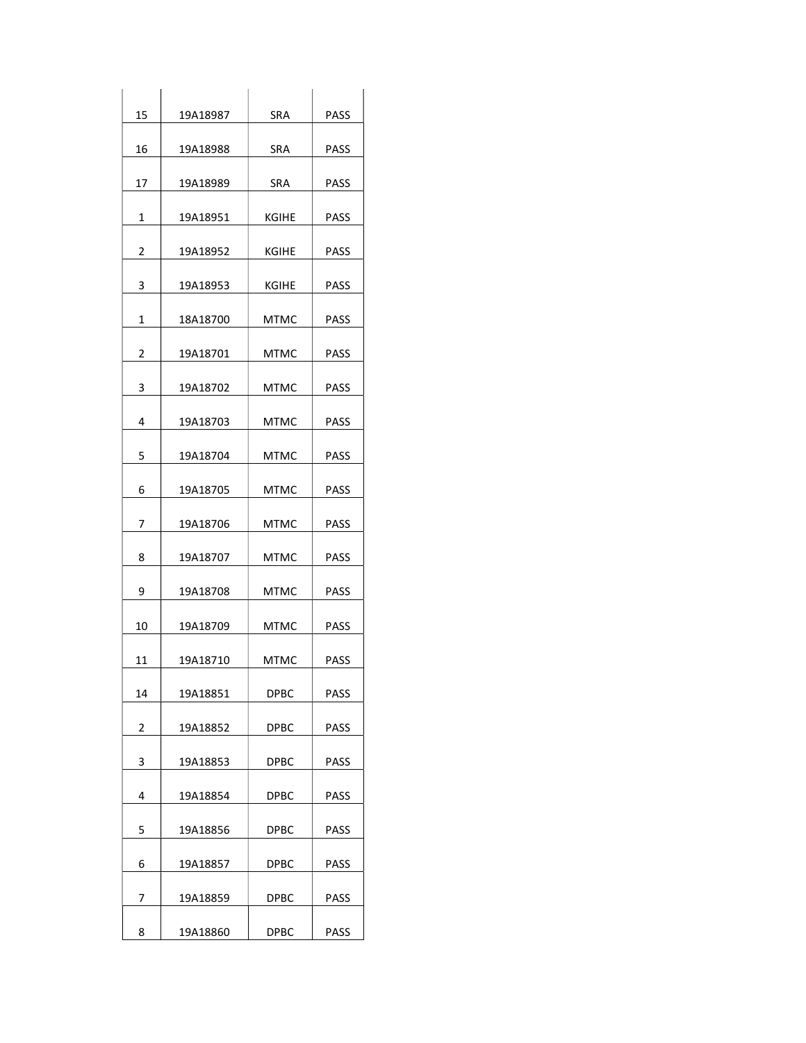| 15             | 19A18987 | <b>SRA</b>   | <b>PASS</b> |
|----------------|----------|--------------|-------------|
| 16             | 19A18988 | SRA          | PASS        |
| 17             | 19A18989 | SRA          | PASS        |
| 1              | 19A18951 | KGIHE        | PASS        |
| $\overline{2}$ | 19A18952 | KGIHE        | PASS        |
| 3              | 19A18953 | <b>KGIHE</b> | <b>PASS</b> |
| $\mathbf{1}$   | 18A18700 | <b>MTMC</b>  | <b>PASS</b> |
| $\overline{2}$ | 19A18701 | <b>MTMC</b>  | <b>PASS</b> |
| 3              | 19A18702 | <b>MTMC</b>  | PASS        |
| 4              | 19A18703 | MTMC         | PASS        |
| 5              | 19A18704 | <b>MTMC</b>  | <b>PASS</b> |
| 6              | 19A18705 | <b>MTMC</b>  | <b>PASS</b> |
| 7              | 19A18706 | MTMC         | PASS        |
| 8              | 19A18707 | <b>MTMC</b>  | PASS        |
| 9              | 19A18708 | <b>MTMC</b>  | PASS        |
| 10             | 19A18709 | <b>MTMC</b>  | PASS        |
| 11             | 19A18710 | <b>MTMC</b>  | <b>PASS</b> |
| 14             | 19A18851 | <b>DPBC</b>  | <b>PASS</b> |
| 2              | 19A18852 | <b>DPBC</b>  | PASS        |
| 3              | 19A18853 | DPBC         | <b>PASS</b> |
| 4              | 19A18854 | <b>DPBC</b>  | PASS        |
| 5              | 19A18856 | <b>DPBC</b>  | PASS        |
| 6              | 19A18857 | <b>DPBC</b>  | PASS        |
| 7              | 19A18859 | DPBC         | PASS        |
| 8              | 19A18860 | <b>DPBC</b>  | <b>PASS</b> |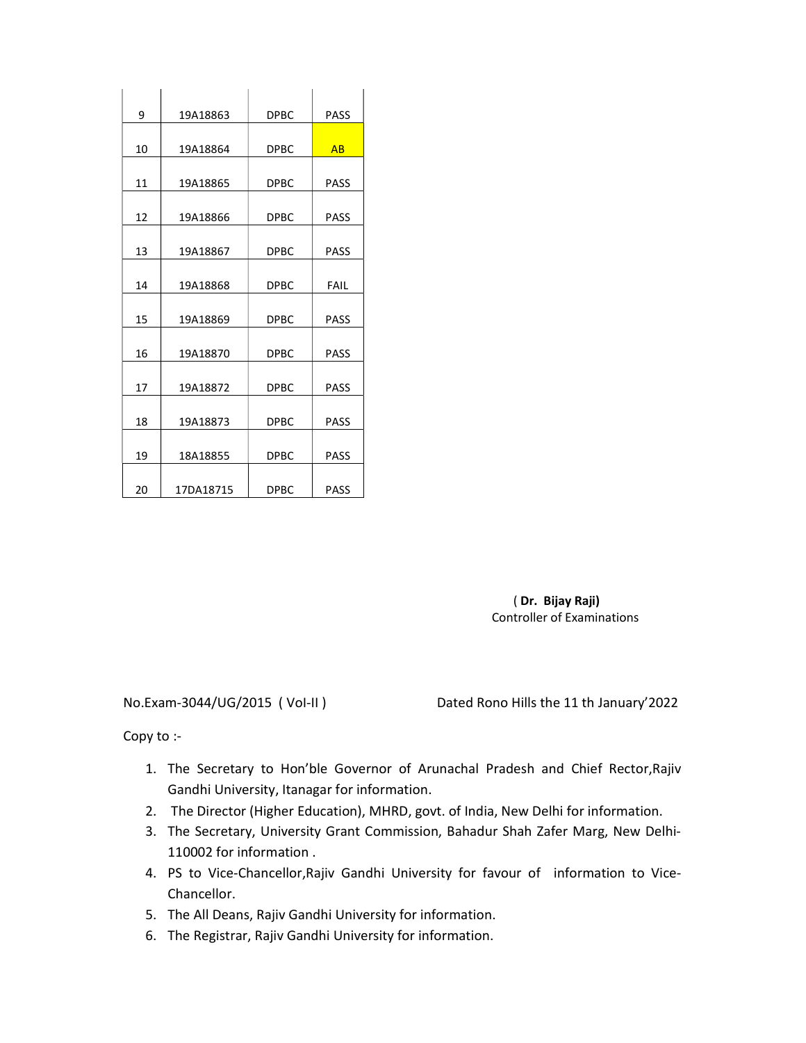| 9  | 19A18863  | <b>DPBC</b> | <b>PASS</b> |
|----|-----------|-------------|-------------|
|    |           |             |             |
| 10 | 19A18864  | <b>DPBC</b> | AR          |
| 11 | 19A18865  | <b>DPBC</b> | <b>PASS</b> |
| 12 | 19A18866  | <b>DPBC</b> | <b>PASS</b> |
| 13 | 19A18867  | <b>DPBC</b> | <b>PASS</b> |
| 14 | 19A18868  | <b>DPBC</b> | FAIL        |
| 15 | 19A18869  | <b>DPBC</b> | <b>PASS</b> |
| 16 | 19A18870  | <b>DPBC</b> | <b>PASS</b> |
| 17 | 19A18872  | <b>DPBC</b> | <b>PASS</b> |
| 18 | 19A18873  | <b>DPBC</b> | <b>PASS</b> |
| 19 | 18A18855  | <b>DPBC</b> | <b>PASS</b> |
| 20 | 17DA18715 | <b>DPBC</b> | <b>PASS</b> |

 ( Dr. Bijay Raji) Controller of Examinations

No.Exam-3044/UG/2015 ( VoI-II ) Dated Rono Hills the 11 th January'2022

Copy to :-

- 1. The Secretary to Hon'ble Governor of Arunachal Pradesh and Chief Rector,Rajiv Gandhi University, Itanagar for information.
- 2. The Director (Higher Education), MHRD, govt. of India, New Delhi for information.
- 3. The Secretary, University Grant Commission, Bahadur Shah Zafer Marg, New Delhi-110002 for information .
- 4. PS to Vice-Chancellor,Rajiv Gandhi University for favour of information to Vice-Chancellor.
- 5. The All Deans, Rajiv Gandhi University for information.
- 6. The Registrar, Rajiv Gandhi University for information.